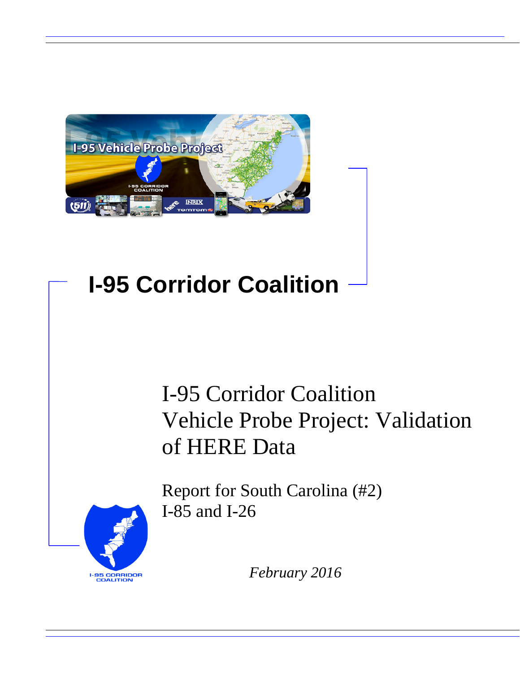

# **I-95 Corridor Coalition**

# I-95 Corridor Coalition Vehicle Probe Project: Validation of HERE Data



Report for South Carolina (#2) I-85 and I-26

*February 2016*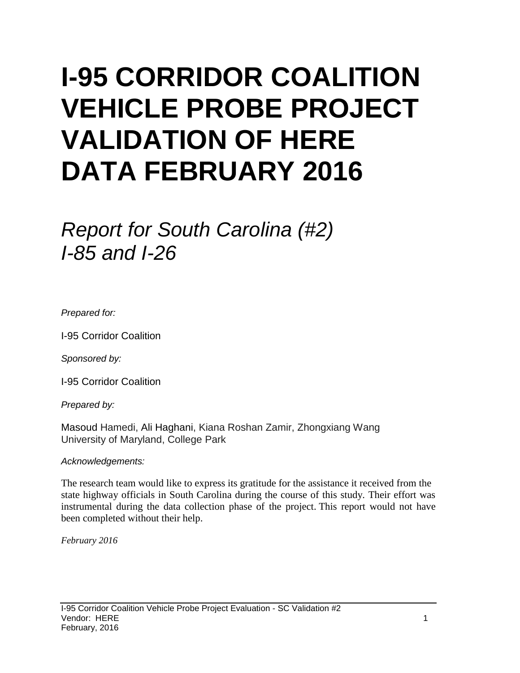# **I-95 CORRIDOR COALITION VEHICLE PROBE PROJECT VALIDATION OF HERE DATA FEBRUARY 2016**

# *Report for South Carolina (#2) I-85 and I-26*

*Prepared for:*

I-95 Corridor Coalition

*Sponsored by:*

I-95 Corridor Coalition

*Prepared by:*

Masoud Hamedi, Ali Haghani, Kiana Roshan Zamir, Zhongxiang Wang University of Maryland, College Park

#### *Acknowledgements:*

The research team would like to express its gratitude for the assistance it received from the state highway officials in South Carolina during the course of this study. Their effort was instrumental during the data collection phase of the project. This report would not have been completed without their help.

*February 2016*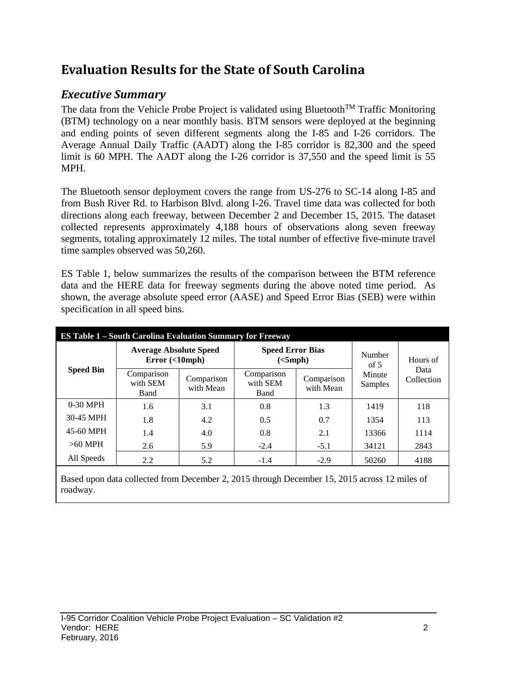## **Evaluation Results for the State of South Carolina**

## *Executive Summary*

The data from the Vehicle Probe Project is validated using Bluetooth<sup>TM</sup> Traffic Monitoring (BTM) technology on a near monthly basis. BTM sensors were deployed at the beginning and ending points of seven different segments along the I-85 and I-26 corridors. The Average Annual Daily Traffic (AADT) along the I-85 corridor is 82,300 and the speed limit is 60 MPH. The AADT along the I-26 corridor is 37,550 and the speed limit is 55 MPH.

The Bluetooth sensor deployment covers the range from US-276 to SC-14 along I-85 and from Bush River Rd. to Harbison Blvd. along I-26. Travel time data was collected for both directions along each freeway, between December 2 and December 15, 2015. The dataset collected represents approximately 4,188 hours of observations along seven freeway segments, totaling approximately 12 miles. The total number of effective five-minute travel time samples observed was 50,260.

ES Table 1, below summarizes the results of the comparison between the BTM reference data and the HERE data for freeway segments during the above noted time period. As shown, the average absolute speed error (AASE) and Speed Error Bias (SEB) were within specification in all speed bins.

| <b>ES Table 1 – South Carolina Evaluation Summary for Freeway</b> |                                            |                         |                                     |                         |                   |                                |  |  |  |
|-------------------------------------------------------------------|--------------------------------------------|-------------------------|-------------------------------------|-------------------------|-------------------|--------------------------------|--|--|--|
| <b>Speed Bin</b>                                                  | <b>Average Absolute Speed</b><br>Error(<10 |                         | <b>Speed Error Bias</b><br>(<5 mph) |                         | Number<br>of $5$  | Hours of<br>Data<br>Collection |  |  |  |
|                                                                   | Comparison<br>with SEM<br>Band             | Comparison<br>with Mean | Comparison<br>with SEM<br>Band      | Comparison<br>with Mean | Minute<br>Samples |                                |  |  |  |
| $0-30$ MPH                                                        | 1.6                                        | 3.1                     | 0.8                                 | 1.3                     | 1419              | 118                            |  |  |  |
| 30-45 MPH                                                         | 1.8                                        | 4.2                     | 0.5                                 | 0.7                     | 1354              | 113                            |  |  |  |
| 45-60 MPH                                                         | 1.4                                        | 4.0                     | 0.8                                 | 2.1                     | 13366             | 1114                           |  |  |  |
| $>60$ MPH                                                         | 2.6                                        | 5.9                     | $-2.4$                              | $-5.1$                  | 34121             | 2843                           |  |  |  |
| All Speeds                                                        | 2.2                                        | 5.2                     | $-1.4$                              | $-2.9$                  | 50260             | 4188                           |  |  |  |

Based upon data collected from December 2, 2015 through December 15, 2015 across 12 miles of roadway.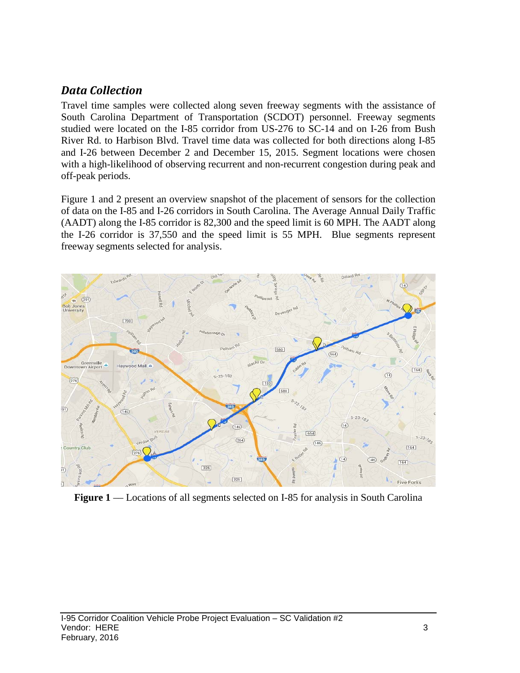### *Data Collection*

Travel time samples were collected along seven freeway segments with the assistance of South Carolina Department of Transportation (SCDOT) personnel. Freeway segments studied were located on the I-85 corridor from US-276 to SC-14 and on I-26 from Bush River Rd. to Harbison Blvd. Travel time data was collected for both directions along I-85 and I-26 between December 2 and December 15, 2015. Segment locations were chosen with a high-likelihood of observing recurrent and non-recurrent congestion during peak and off-peak periods.

Figure 1 and 2 present an overview snapshot of the placement of sensors for the collection of data on the I-85 and I-26 corridors in South Carolina. The Average Annual Daily Traffic (AADT) along the I-85 corridor is 82,300 and the speed limit is 60 MPH. The AADT along the I-26 corridor is 37,550 and the speed limit is 55 MPH. Blue segments represent freeway segments selected for analysis.



**Figure 1** — Locations of all segments selected on I-85 for analysis in South Carolina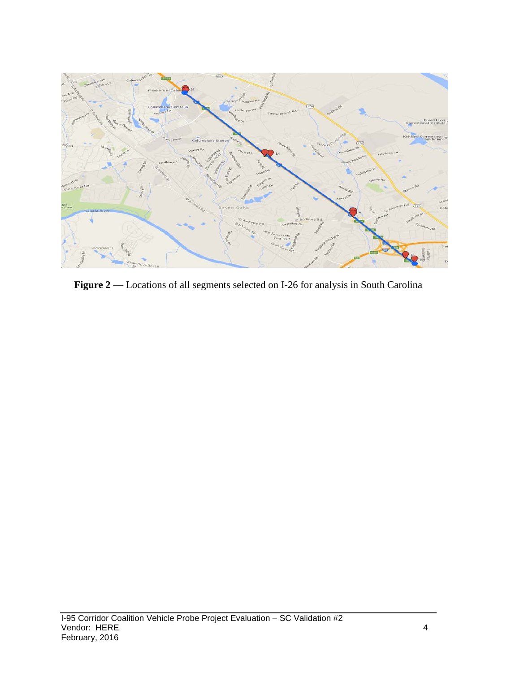

Figure 2 –– Locations of all segments selected on I-26 for analysis in South Carolina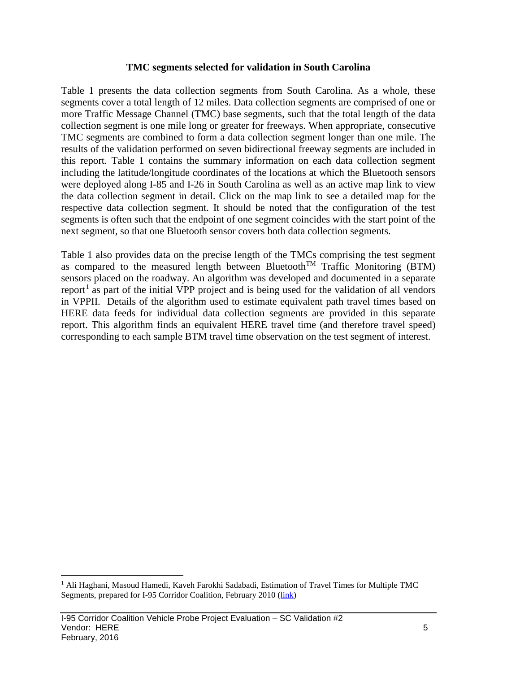#### **TMC segments selected for validation in South Carolina**

Table 1 presents the data collection segments from South Carolina. As a whole, these segments cover a total length of 12 miles. Data collection segments are comprised of one or more Traffic Message Channel (TMC) base segments, such that the total length of the data collection segment is one mile long or greater for freeways. When appropriate, consecutive TMC segments are combined to form a data collection segment longer than one mile. The results of the validation performed on seven bidirectional freeway segments are included in this report. Table 1 contains the summary information on each data collection segment including the latitude/longitude coordinates of the locations at which the Bluetooth sensors were deployed along I-85 and I-26 in South Carolina as well as an active map link to view the data collection segment in detail. Click on the map link to see a detailed map for the respective data collection segment. It should be noted that the configuration of the test segments is often such that the endpoint of one segment coincides with the start point of the next segment, so that one Bluetooth sensor covers both data collection segments.

Table 1 also provides data on the precise length of the TMCs comprising the test segment as compared to the measured length between Bluetooth<sup>TM</sup> Traffic Monitoring (BTM) sensors placed on the roadway. An algorithm was developed and documented in a separate report<sup>[1](#page-5-0)</sup> as part of the initial VPP project and is being used for the validation of all vendors in VPPII. Details of the algorithm used to estimate equivalent path travel times based on HERE data feeds for individual data collection segments are provided in this separate report. This algorithm finds an equivalent HERE travel time (and therefore travel speed) corresponding to each sample BTM travel time observation on the test segment of interest.

<span id="page-5-0"></span><sup>&</sup>lt;sup>1</sup> Ali Haghani, Masoud Hamedi, Kaveh Farokhi Sadabadi, Estimation of Travel Times for Multiple TMC Segments, prepared for I-95 Corridor Coalition, February 2010 [\(link\)](http://www.i95coalition.org/wp-content/uploads/2015/02/I-95-CC-Estimation-of-Travel-Times-for-Multiple-TMC-Segments-FINAL2.pdf)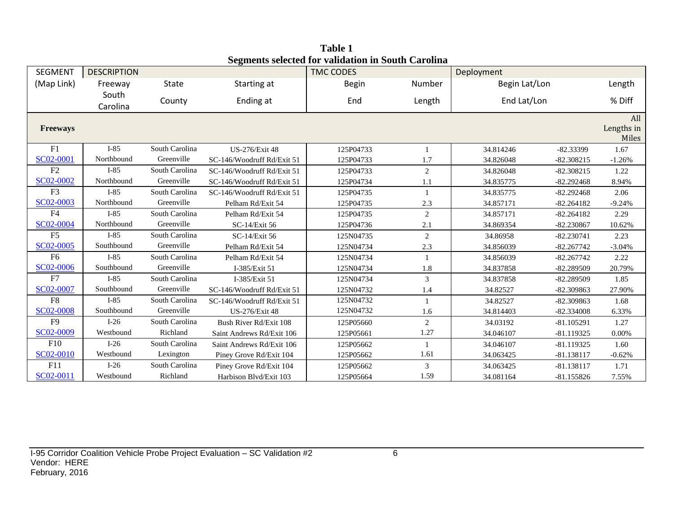| <b>SEGMENT</b>  | <b>DESCRIPTION</b> |                |                            | beginems selected for vanuation in bouth Carolina<br><b>TMC CODES</b> |         | Deployment    |              |            |
|-----------------|--------------------|----------------|----------------------------|-----------------------------------------------------------------------|---------|---------------|--------------|------------|
| (Map Link)      | Freeway            | State          | Starting at                | <b>Begin</b>                                                          | Number  | Begin Lat/Lon |              | Length     |
|                 | South              |                | Ending at                  | End                                                                   |         | End Lat/Lon   |              | % Diff     |
|                 | Carolina           | County         |                            |                                                                       | Length  |               |              |            |
|                 |                    |                |                            |                                                                       |         |               |              | All        |
| <b>Freeways</b> |                    |                |                            |                                                                       |         |               |              | Lengths in |
|                 |                    |                |                            |                                                                       |         |               |              | Miles      |
| F1              | $I-85$             | South Carolina | <b>US-276/Exit 48</b>      | 125P04733                                                             |         | 34.814246     | $-82.33399$  | 1.67       |
| SC02-0001       | Northbound         | Greenville     | SC-146/Woodruff Rd/Exit 51 | 125P04733                                                             | 1.7     | 34.826048     | $-82.308215$ | $-1.26%$   |
| F <sub>2</sub>  | $I-85$             | South Carolina | SC-146/Woodruff Rd/Exit 51 | 125P04733                                                             | 2       | 34.826048     | $-82.308215$ | 1.22       |
| SC02-0002       | Northbound         | Greenville     | SC-146/Woodruff Rd/Exit 51 | 125P04734                                                             | 1.1     | 34.835775     | $-82.292468$ | 8.94%      |
| F <sub>3</sub>  | $I-85$             | South Carolina | SC-146/Woodruff Rd/Exit 51 | 125P04735                                                             |         | 34.835775     | $-82.292468$ | 2.06       |
| SC02-0003       | Northbound         | Greenville     | Pelham Rd/Exit 54          | 125P04735                                                             | $2.3\,$ | 34.857171     | $-82.264182$ | $-9.24%$   |
| F <sub>4</sub>  | $I-85$             | South Carolina | Pelham Rd/Exit 54          | 125P04735                                                             | 2       | 34.857171     | $-82.264182$ | 2.29       |
| SC02-0004       | Northbound         | Greenville     | SC-14/Exit 56              | 125P04736                                                             | 2.1     | 34.869354     | $-82.230867$ | 10.62%     |
| F <sub>5</sub>  | $I-85$             | South Carolina | SC-14/Exit 56              | 125N04735                                                             | 2       | 34.86958      | $-82.230741$ | 2.23       |
| SC02-0005       | Southbound         | Greenville     | Pelham Rd/Exit 54          | 125N04734                                                             | 2.3     | 34.856039     | $-82.267742$ | $-3.04%$   |
| F <sub>6</sub>  | $I-85$             | South Carolina | Pelham Rd/Exit 54          | 125N04734                                                             |         | 34.856039     | $-82.267742$ | 2.22       |
| SC02-0006       | Southbound         | Greenville     | I-385/Exit 51              | 125N04734                                                             | 1.8     | 34.837858     | -82.289509   | 20.79%     |
| F7              | $I-85$             | South Carolina | I-385/Exit 51              | 125N04734                                                             | 3       | 34.837858     | $-82.289509$ | 1.85       |
| SC02-0007       | Southbound         | Greenville     | SC-146/Woodruff Rd/Exit 51 | 125N04732                                                             | 1.4     | 34.82527      | -82.309863   | 27.90%     |
| F <sub>8</sub>  | $I-85$             | South Carolina | SC-146/Woodruff Rd/Exit 51 | 125N04732                                                             | 1       | 34.82527      | $-82.309863$ | 1.68       |
| SC02-0008       | Southbound         | Greenville     | US-276/Exit 48             | 125N04732                                                             | 1.6     | 34.814403     | $-82.334008$ | 6.33%      |
| F <sub>9</sub>  | $I-26$             | South Carolina | Bush River Rd/Exit 108     | 125P05660                                                             | 2       | 34.03192      | $-81.105291$ | 1.27       |
| SC02-0009       | Westbound          | Richland       | Saint Andrews Rd/Exit 106  | 125P05661                                                             | 1.27    | 34.046107     | $-81.119325$ | $0.00\%$   |
| F10             | $I-26$             | South Carolina | Saint Andrews Rd/Exit 106  | 125P05662                                                             |         | 34.046107     | $-81.119325$ | 1.60       |
| SC02-0010       | Westbound          | Lexington      | Piney Grove Rd/Exit 104    | 125P05662                                                             | 1.61    | 34.063425     | $-81.138117$ | $-0.62%$   |
| F11             | $I-26$             | South Carolina | Piney Grove Rd/Exit 104    | 125P05662                                                             | 3       | 34.063425     | $-81.138117$ | 1.71       |
| SC02-0011       | Westbound          | Richland       | Harbison Blvd/Exit 103     | 125P05664                                                             | 1.59    | 34.081164     | $-81.155826$ | 7.55%      |

**Table 1 Segments selected for validation in South Carolina**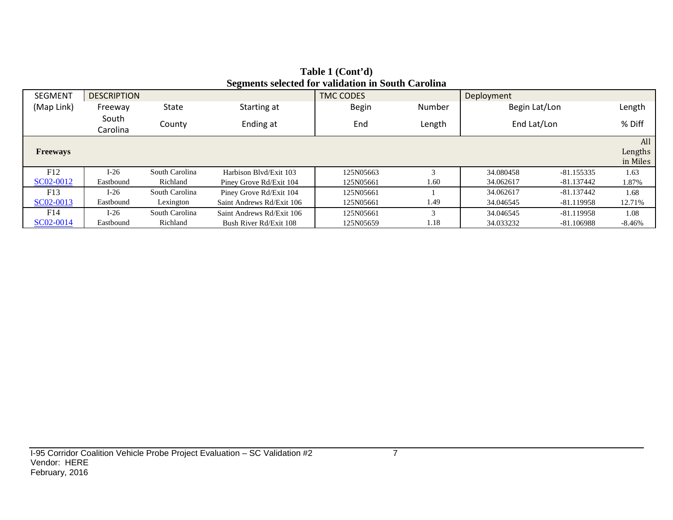| <b>SEGMENT</b>  | <b>DESCRIPTION</b> |                      | ~~ <del>~</del> ~~~~~~    | <b>TMC CODES</b> |        | Deployment    |              |                            |
|-----------------|--------------------|----------------------|---------------------------|------------------|--------|---------------|--------------|----------------------------|
| (Map Link)      | Freeway            | State<br>Starting at |                           | <b>Begin</b>     | Number | Begin Lat/Lon |              | Length                     |
|                 | South<br>Carolina  | County               | Ending at                 | End              | Length | End Lat/Lon   |              | % Diff                     |
| <b>Freeways</b> |                    |                      |                           |                  |        |               |              | All<br>Lengths<br>in Miles |
| F12             | $I-26$             | South Carolina       | Harbison Blvd/Exit 103    | 125N05663        | $\sim$ | 34.080458     | $-81.155335$ | 1.63                       |
| SC02-0012       | Eastbound          | Richland             | Piney Grove Rd/Exit 104   | 125N05661        | 1.60   | 34.062617     | -81.137442   | 1.87%                      |
| F13             | $I-26$             | South Carolina       | Piney Grove Rd/Exit 104   | 125N05661        |        | 34.062617     | $-81.137442$ | 1.68                       |
| SC02-0013       | Eastbound          | Lexington            | Saint Andrews Rd/Exit 106 | 125N05661        | 1.49   | 34.046545     | -81.119958   | 12.71%                     |
| F14             | $I-26$             | South Carolina       | Saint Andrews Rd/Exit 106 | 125N05661        | 3      | 34.046545     | $-81.119958$ | 1.08                       |
| SC02-0014       | Eastbound          | Richland             | Bush River Rd/Exit 108    | 125N05659        | 1.18   | 34.033232     | -81.106988   | -8.46%                     |

#### **Table 1 (Cont'd) Segments selected for validation in South Carolina**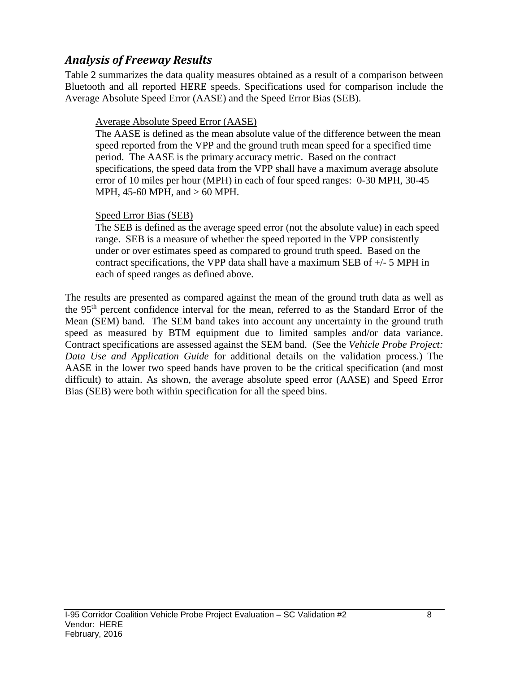### *Analysis of Freeway Results*

Table 2 summarizes the data quality measures obtained as a result of a comparison between Bluetooth and all reported HERE speeds. Specifications used for comparison include the Average Absolute Speed Error (AASE) and the Speed Error Bias (SEB).

#### Average Absolute Speed Error (AASE)

The AASE is defined as the mean absolute value of the difference between the mean speed reported from the VPP and the ground truth mean speed for a specified time period. The AASE is the primary accuracy metric. Based on the contract specifications, the speed data from the VPP shall have a maximum average absolute error of 10 miles per hour (MPH) in each of four speed ranges: 0-30 MPH, 30-45 MPH, 45-60 MPH, and > 60 MPH.

#### Speed Error Bias (SEB)

The SEB is defined as the average speed error (not the absolute value) in each speed range. SEB is a measure of whether the speed reported in the VPP consistently under or over estimates speed as compared to ground truth speed. Based on the contract specifications, the VPP data shall have a maximum SEB of +/- 5 MPH in each of speed ranges as defined above.

The results are presented as compared against the mean of the ground truth data as well as the 95th percent confidence interval for the mean, referred to as the Standard Error of the Mean (SEM) band. The SEM band takes into account any uncertainty in the ground truth speed as measured by BTM equipment due to limited samples and/or data variance. Contract specifications are assessed against the SEM band. (See the *Vehicle Probe Project: Data Use and Application Guide* for additional details on the validation process.) The AASE in the lower two speed bands have proven to be the critical specification (and most difficult) to attain. As shown, the average absolute speed error (AASE) and Speed Error Bias (SEB) were both within specification for all the speed bins.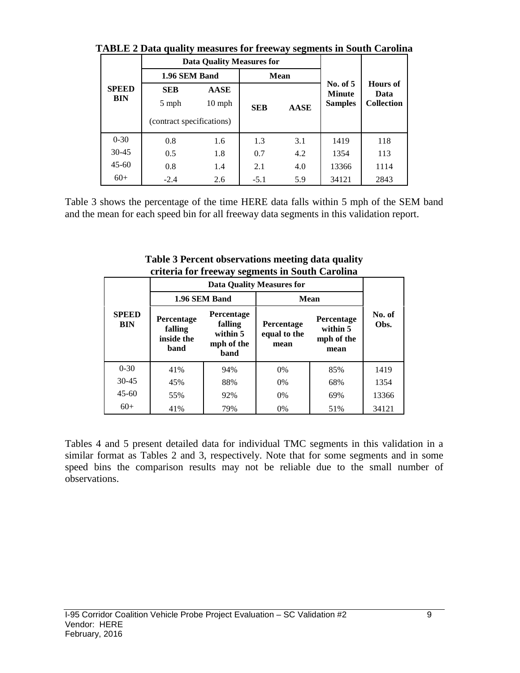|                     |                           | <b>Data Quality Measures for</b> |            |             |                                               |                                              |
|---------------------|---------------------------|----------------------------------|------------|-------------|-----------------------------------------------|----------------------------------------------|
| <b>SPEED</b><br>BIN | 1.96 SEM Band             |                                  |            | <b>Mean</b> |                                               |                                              |
|                     | <b>SEB</b><br>5 mph       | <b>AASE</b><br>$10 \text{ mph}$  | <b>SEB</b> | <b>AASE</b> | No. of $5$<br><b>Minute</b><br><b>Samples</b> | <b>Hours</b> of<br>Data<br><b>Collection</b> |
|                     | (contract specifications) |                                  |            |             |                                               |                                              |
| $0 - 30$            | 0.8                       | 1.6                              | 1.3        | 3.1         | 1419                                          | 118                                          |
| $30 - 45$           | 0.5                       | 1.8                              | 0.7        | 4.2         | 1354                                          | 113                                          |
| $45 - 60$           | 0.8                       | 1.4                              | 2.1        | 4.0         | 13366                                         | 1114                                         |
| $60+$               | $-2.4$                    | 2.6                              | $-5.1$     | 5.9         | 34121                                         | 2843                                         |

**TABLE 2 Data quality measures for freeway segments in South Carolina**

Table 3 shows the percentage of the time HERE data falls within 5 mph of the SEM band and the mean for each speed bin for all freeway data segments in this validation report.

|                            |                                             | effici la foi fi ceway seguients in South Carolina      |                                           |                                              |                |  |
|----------------------------|---------------------------------------------|---------------------------------------------------------|-------------------------------------------|----------------------------------------------|----------------|--|
|                            |                                             |                                                         | <b>Data Quality Measures for</b>          |                                              |                |  |
|                            |                                             | 1.96 SEM Band                                           | <b>Mean</b>                               |                                              |                |  |
| <b>SPEED</b><br><b>BIN</b> | Percentage<br>falling<br>inside the<br>band | Percentage<br>falling<br>within 5<br>mph of the<br>band | <b>Percentage</b><br>equal to the<br>mean | Percentage<br>within 5<br>mph of the<br>mean | No. of<br>Obs. |  |
| $0 - 30$                   | 41%                                         | 94%                                                     | $0\%$                                     | 85%                                          | 1419           |  |
| $30 - 45$                  | 45%                                         | 88%                                                     | $0\%$                                     | 68%                                          | 1354           |  |
| $45-60$                    | 55%                                         | 92%                                                     | $0\%$                                     | 69%                                          | 13366          |  |
| $60+$                      | 41%                                         | 79%                                                     | 0%                                        | 51%                                          | 34121          |  |

**Table 3 Percent observations meeting data quality criteria for freeway segments in South Carolina**

Tables 4 and 5 present detailed data for individual TMC segments in this validation in a similar format as Tables 2 and 3, respectively. Note that for some segments and in some speed bins the comparison results may not be reliable due to the small number of observations.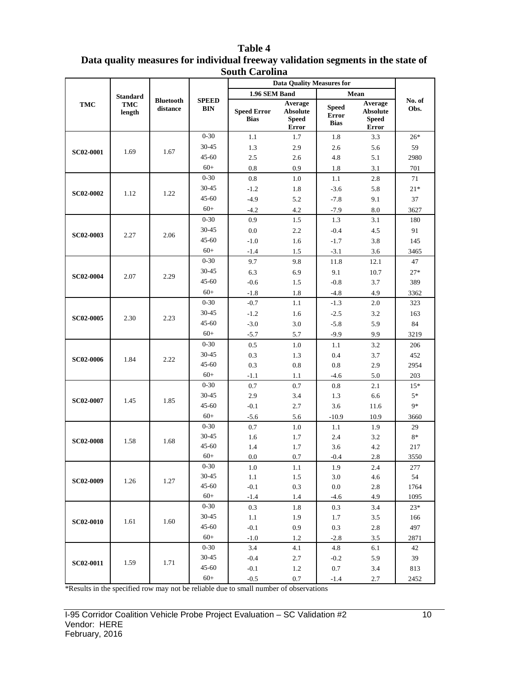|                  |                                  |                              |                            | buuu Caruma                       | <b>Data Quality Measures for</b>                    |                                             |                                                     |                |
|------------------|----------------------------------|------------------------------|----------------------------|-----------------------------------|-----------------------------------------------------|---------------------------------------------|-----------------------------------------------------|----------------|
|                  |                                  |                              |                            | 1.96 SEM Band                     |                                                     |                                             | Mean                                                |                |
| <b>TMC</b>       | <b>Standard</b><br>TMC<br>length | <b>Bluetooth</b><br>distance | <b>SPEED</b><br><b>BIN</b> | <b>Speed Error</b><br><b>Bias</b> | Average<br><b>Absolute</b><br><b>Speed</b><br>Error | <b>Speed</b><br><b>Error</b><br><b>Bias</b> | Average<br><b>Absolute</b><br><b>Speed</b><br>Error | No. of<br>Obs. |
|                  |                                  |                              | $0 - 30$                   | 1.1                               | 1.7                                                 | 1.8                                         | 3.3                                                 | $26*$          |
|                  |                                  |                              | 30-45                      | 1.3                               | 2.9                                                 | 2.6                                         | 5.6                                                 | 59             |
| <b>SC02-0001</b> | 1.69                             | 1.67                         | 45-60                      | 2.5                               | 2.6                                                 | 4.8                                         | 5.1                                                 | 2980           |
|                  |                                  |                              | $60+$                      | 0.8                               | 0.9                                                 | 1.8                                         | 3.1                                                 | 701            |
|                  |                                  |                              | $0 - 30$                   | 0.8                               | 1.0                                                 | 1.1                                         | 2.8                                                 | 71             |
|                  |                                  |                              | 30-45                      | $-1.2$                            | 1.8                                                 | $-3.6$                                      | 5.8                                                 | $21*$          |
| <b>SC02-0002</b> | 1.12                             | 1.22                         | 45-60                      | $-4.9$                            | 5.2                                                 | $-7.8$                                      | 9.1                                                 | 37             |
|                  |                                  |                              | $60+$                      | $-4.2$                            | 4.2                                                 | $-7.9$                                      | 8.0                                                 | 3627           |
|                  |                                  |                              | $0 - 30$                   | 0.9                               | 1.5                                                 | 1.3                                         | 3.1                                                 | 180            |
|                  |                                  |                              | 30-45                      | 0.0                               | 2.2                                                 | $-0.4$                                      | 4.5                                                 | 91             |
| <b>SC02-0003</b> | 2.27                             | 2.06                         | 45-60                      | $-1.0$                            | 1.6                                                 | $-1.7$                                      | 3.8                                                 | 145            |
|                  |                                  |                              | $60+$                      | $-1.4$                            | 1.5                                                 | $-3.1$                                      | 3.6                                                 | 3465           |
|                  |                                  |                              | $0 - 30$                   | 9.7                               | 9.8                                                 | 11.8                                        | 12.1                                                | 47             |
|                  |                                  |                              | 30-45                      | 6.3                               | 6.9                                                 | 9.1                                         | 10.7                                                | $27*$          |
| <b>SC02-0004</b> | 2.07                             | 2.29                         | 45-60                      | $-0.6$                            | 1.5                                                 | $-0.8$                                      | 3.7                                                 | 389            |
|                  |                                  |                              | $60+$                      | $-1.8$                            | 1.8                                                 | $-4.8$                                      | 4.9                                                 | 3362           |
|                  |                                  |                              | $0 - 30$                   | $-0.7$                            | 1.1                                                 | $-1.3$                                      | 2.0                                                 | 323            |
|                  |                                  | 2.23                         | 30-45                      | $-1.2$                            | 1.6                                                 | $-2.5$                                      | 3.2                                                 | 163            |
| <b>SC02-0005</b> | 2.30                             |                              | 45-60                      | $-3.0$                            | 3.0                                                 | $-5.8$                                      | 5.9                                                 | 84             |
|                  |                                  |                              | $60+$                      | $-5.7$                            | 5.7                                                 | $-9.9$                                      | 9.9                                                 | 3219           |
|                  |                                  |                              | $0 - 30$                   | 0.5                               | 1.0                                                 | 1.1                                         | 3.2                                                 | 206            |
| <b>SC02-0006</b> | 1.84                             | 2.22                         | 30-45                      | 0.3                               | 1.3                                                 | 0.4                                         | 3.7                                                 | 452            |
|                  |                                  |                              | 45-60                      | 0.3                               | 0.8                                                 | 0.8                                         | 2.9                                                 | 2954           |
|                  |                                  |                              | $60+$                      | $-1.1$                            | 1.1                                                 | $-4.6$                                      | 5.0                                                 | 203            |
|                  |                                  |                              | $0 - 30$                   | 0.7                               | 0.7                                                 | 0.8                                         | 2.1                                                 | $15*$          |
| SC02-0007        | 1.45                             | 1.85                         | 30-45                      | 2.9                               | 3.4                                                 | 1.3                                         | 6.6                                                 | $5*$           |
|                  |                                  |                              | 45-60                      | $-0.1$                            | 2.7                                                 | 3.6                                         | 11.6                                                | 9*             |
|                  |                                  |                              | $60+$                      | $-5.6$                            | 5.6                                                 | $-10.9$                                     | 10.9                                                | 3660           |
|                  |                                  |                              | $0 - 30$                   | 0.7                               | 1.0                                                 | 1.1                                         | 1.9                                                 | 29             |
| <b>SC02-0008</b> | 1.58                             | 1.68                         | 30-45                      | 1.6                               | 1.7                                                 | 2.4                                         | 3.2                                                 | $8*$           |
|                  |                                  |                              | 45-60                      | 1.4                               | 1.7                                                 | 3.6                                         | 4.2                                                 | 217            |
|                  |                                  |                              | $60+$                      | 0.0                               | 0.7                                                 | $-0.4$                                      | 2.8                                                 | 3550           |
|                  |                                  |                              | $0 - 30$                   | 1.0                               | 1.1                                                 | 1.9                                         | 2.4                                                 | 277            |
| SC02-0009        | 1.26                             | 1.27                         | 30-45                      | 1.1                               | 1.5                                                 | 3.0                                         | 4.6                                                 | 54             |
|                  |                                  |                              | 45-60<br>$60+$             | $-0.1$                            | 0.3                                                 | 0.0                                         | 2.8                                                 | 1764           |
|                  |                                  |                              | $0 - 30$                   | $-1.4$                            | 1.4                                                 | $-4.6$                                      | 4.9                                                 | 1095           |
|                  |                                  |                              | 30-45                      | 0.3                               | 1.8                                                 | 0.3                                         | 3.4                                                 | $23*$          |
| <b>SC02-0010</b> | 1.61                             | 1.60                         | 45-60                      | 1.1                               | 1.9                                                 | 1.7                                         | 3.5                                                 | 166            |
|                  |                                  |                              | $60+$                      | $-0.1$                            | 0.9                                                 | 0.3                                         | 2.8                                                 | 497            |
|                  |                                  |                              | $0 - 30$                   | $-1.0$<br>3.4                     | 1.2<br>4.1                                          | $-2.8$<br>4.8                               | 3.5<br>6.1                                          | 2871<br>42     |
|                  |                                  |                              | 30-45                      | $-0.4$                            | 2.7                                                 | $-0.2$                                      | 5.9                                                 | 39             |
| <b>SC02-0011</b> | 1.59                             | 1.71                         | 45-60                      | $-0.1$                            | 1.2                                                 | 0.7                                         | 3.4                                                 | 813            |
|                  |                                  |                              | $60+$                      |                                   |                                                     |                                             |                                                     |                |
|                  |                                  |                              |                            | $-0.5$                            | 0.7                                                 | $-1.4$                                      | 2.7                                                 | 2452           |

#### **Table 4 Data quality measures for individual freeway validation segments in the state of South Carolina**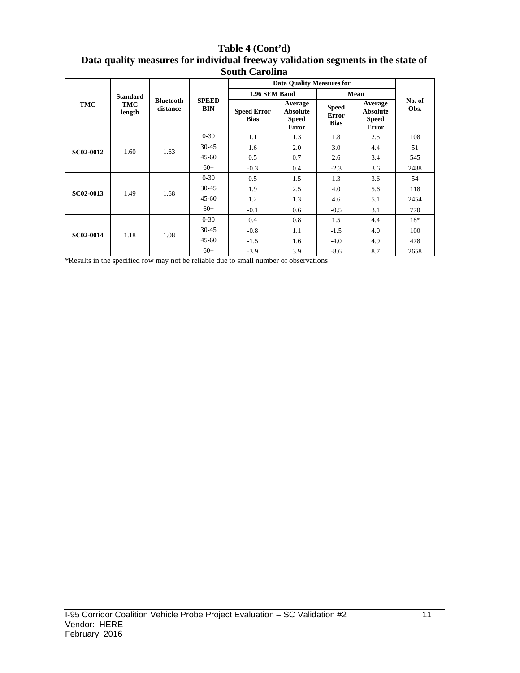#### **Table 4 (Cont'd) Data quality measures for individual freeway validation segments in the state of South Carolina**

|                  |                      |                              |                            | <b>Data Quality Measures for</b>  |                                                     |                                             |                                                            |                |
|------------------|----------------------|------------------------------|----------------------------|-----------------------------------|-----------------------------------------------------|---------------------------------------------|------------------------------------------------------------|----------------|
|                  | <b>Standard</b>      |                              |                            | 1.96 SEM Band                     |                                                     |                                             | Mean                                                       |                |
| TMC              | <b>TMC</b><br>length | <b>Bluetooth</b><br>distance | <b>SPEED</b><br><b>BIN</b> | <b>Speed Error</b><br><b>Bias</b> | Average<br><b>Absolute</b><br>Speed<br><b>Error</b> | <b>Speed</b><br><b>Error</b><br><b>Bias</b> | Average<br><b>Absolute</b><br><b>Speed</b><br><b>Error</b> | No. of<br>Obs. |
|                  |                      |                              | $0 - 30$                   | 1.1                               | 1.3                                                 | 1.8                                         | 2.5                                                        | 108            |
| <b>SC02-0012</b> | 1.60                 | 1.63                         | $30 - 45$                  | 1.6                               | 2.0                                                 | 3.0                                         | 4.4                                                        | 51             |
|                  |                      |                              | $45 - 60$                  | 0.5                               | 0.7                                                 | 2.6                                         | 3.4                                                        | 545            |
|                  |                      |                              | $60+$                      | $-0.3$                            | 0.4                                                 | $-2.3$                                      | 3.6                                                        | 2488           |
|                  |                      | 1.68                         | $0 - 30$                   | 0.5                               | 1.5                                                 | 1.3                                         | 3.6                                                        | 54             |
| SC02-0013        | 1.49                 |                              | $30 - 45$                  | 1.9                               | 2.5                                                 | 4.0                                         | 5.6                                                        | 118            |
|                  |                      |                              | $45 - 60$                  | 1.2                               | 1.3                                                 | 4.6                                         | 5.1                                                        | 2454           |
|                  |                      |                              | $60+$                      | $-0.1$                            | 0.6                                                 | $-0.5$                                      | 3.1                                                        | 770            |
|                  |                      |                              | $0 - 30$                   | 0.4                               | 0.8                                                 | 1.5                                         | 4.4                                                        | $18*$          |
| <b>SC02-0014</b> | 1.18                 | 1.08                         | $30 - 45$                  | $-0.8$                            | 1.1                                                 | $-1.5$                                      | 4.0                                                        | 100            |
|                  |                      |                              | $45 - 60$                  | $-1.5$                            | 1.6                                                 | $-4.0$                                      | 4.9                                                        | 478            |
|                  |                      |                              | $60+$                      | $-3.9$                            | 3.9                                                 | $-8.6$                                      | 8.7                                                        | 2658           |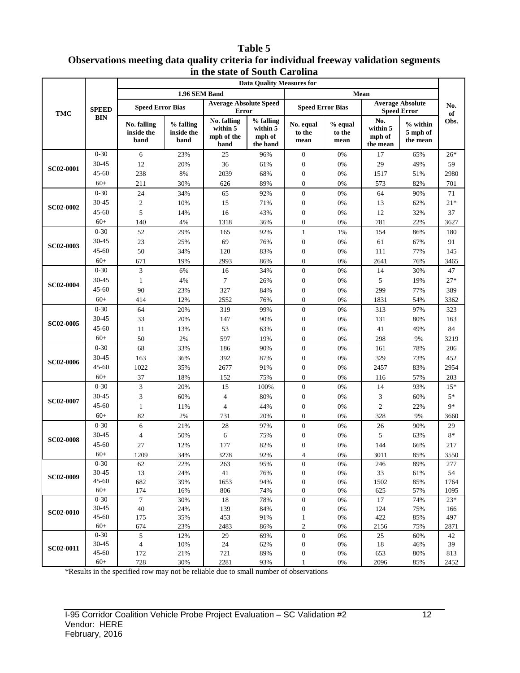#### **Table 5 Observations meeting data quality criteria for individual freeway validation segments in the state of South Carolina**

|                  |                   |                                   |                                 |                                               | <b>Data Quality Measures for</b>            |                                  |                           |                                       |                                               |            |
|------------------|-------------------|-----------------------------------|---------------------------------|-----------------------------------------------|---------------------------------------------|----------------------------------|---------------------------|---------------------------------------|-----------------------------------------------|------------|
|                  |                   |                                   | 1.96 SEM Band                   |                                               |                                             |                                  |                           | Mean                                  |                                               |            |
| <b>TMC</b>       | <b>SPEED</b>      | <b>Speed Error Bias</b>           |                                 | <b>Average Absolute Speed</b><br><b>Error</b> |                                             | <b>Speed Error Bias</b>          |                           |                                       | <b>Average Absolute</b><br><b>Speed Error</b> | No.<br>of  |
|                  | <b>BIN</b>        | No. falling<br>inside the<br>band | % falling<br>inside the<br>band | No. falling<br>within 5<br>mph of the<br>band | % falling<br>within 5<br>mph of<br>the band | No. equal<br>to the<br>mean      | % equal<br>to the<br>mean | No.<br>within 5<br>mph of<br>the mean | $%$ within<br>5 mph of<br>the mean            | Obs.       |
|                  | $0 - 30$          | 6                                 | 23%                             | 25                                            | 96%                                         | $\boldsymbol{0}$                 | 0%                        | 17                                    | 65%                                           | $26*$      |
|                  | 30-45             | 12                                | 20%                             | 36                                            | 61%                                         | $\boldsymbol{0}$                 | 0%                        | 29                                    | 49%                                           | 59         |
| <b>SC02-0001</b> | $45 - 60$         | 238                               | 8%                              | 2039                                          | 68%                                         | $\boldsymbol{0}$                 | 0%                        | 1517                                  | 51%                                           | 2980       |
|                  | $60+$             | 211                               | 30%                             | 626                                           | 89%                                         | $\boldsymbol{0}$                 | 0%                        | 573                                   | 82%                                           | 701        |
|                  | $0 - 30$          | 24                                | 34%                             | 65                                            | 92%                                         | $\boldsymbol{0}$                 | 0%                        | 64                                    | 90%                                           | 71         |
|                  | 30-45             | $\mathfrak{2}$                    | 10%                             | 15                                            | 71%                                         | $\boldsymbol{0}$                 | $0\%$                     | 13                                    | 62%                                           | $21*$      |
| <b>SC02-0002</b> | $45 - 60$         | 5                                 | 14%                             | 16                                            | 43%                                         | $\boldsymbol{0}$                 | $0\%$                     | 12                                    | 32%                                           | 37         |
|                  | $60+$             | 140                               | 4%                              | 1318                                          | 36%                                         | $\boldsymbol{0}$                 | 0%                        | 781                                   | 22%                                           | 3627       |
|                  | $0 - 30$          | 52                                | 29%                             | 165                                           | 92%                                         | $\mathbf{1}$                     | 1%                        | 154                                   | 86%                                           | 180        |
|                  | 30-45             | 23                                | 25%                             | 69                                            | 76%                                         | $\boldsymbol{0}$                 | 0%                        | 61                                    | 67%                                           | 91         |
| <b>SC02-0003</b> | $45 - 60$         | 50                                | 34%                             | 120                                           | 83%                                         | $\boldsymbol{0}$                 | 0%                        | 111                                   | 77%                                           | 145        |
|                  | $60+$             | 671                               | 19%                             | 2993                                          | 86%                                         | $\boldsymbol{0}$                 | 0%                        | 2641                                  | 76%                                           | 3465       |
|                  | $0 - 30$          | 3                                 | 6%                              | 16                                            | 34%                                         | $\boldsymbol{0}$                 | 0%                        | 14                                    | 30%                                           | 47         |
| <b>SC02-0004</b> | 30-45             | $\mathbf{1}$                      | 4%                              | $\tau$                                        | 26%                                         | $\boldsymbol{0}$                 | 0%                        | 5                                     | 19%                                           | $27*$      |
|                  | $45 - 60$         | 90                                | 23%                             | 327                                           | 84%                                         | $\boldsymbol{0}$                 | 0%                        | 299                                   | 77%                                           | 389        |
|                  | $60+$             | 414                               | 12%                             | 2552                                          | 76%                                         | $\overline{0}$                   | 0%                        | 1831                                  | 54%                                           | 3362       |
|                  | $0 - 30$          | 64                                | 20%                             | 319                                           | 99%                                         | $\boldsymbol{0}$                 | 0%                        | 313                                   | 97%                                           | 323        |
| <b>SC02-0005</b> | 30-45             | 33                                | 20%                             | 147                                           | 90%                                         | $\boldsymbol{0}$                 | $0\%$                     | 131                                   | 80%                                           |            |
|                  | $45 - 60$         |                                   |                                 |                                               |                                             |                                  |                           |                                       |                                               | 163        |
|                  | $60+$             | 11                                | 13%                             | 53                                            | 63%                                         | $\boldsymbol{0}$                 | $0\%$                     | 41                                    | 49%                                           | 84         |
|                  | $0 - 30$          | 50                                | 2%                              | 597                                           | 19%                                         | $\boldsymbol{0}$                 | 0%                        | 298                                   | 9%                                            | 3219       |
|                  |                   | 68                                | 33%                             | 186                                           | 90%                                         | $\boldsymbol{0}$                 | 0%                        | 161                                   | 78%                                           | 206        |
| <b>SC02-0006</b> | 30-45             | 163                               | 36%                             | 392                                           | 87%                                         | $\boldsymbol{0}$                 | 0%                        | 329                                   | 73%                                           | 452        |
|                  | $45 - 60$         | 1022                              | 35%                             | 2677                                          | 91%                                         | $\boldsymbol{0}$                 | 0%                        | 2457                                  | 83%                                           | 2954       |
|                  | $60+$             | 37                                | 18%                             | 152                                           | 75%                                         | $\boldsymbol{0}$                 | 0%                        | 116                                   | 57%                                           | 203        |
|                  | $0 - 30$          | 3                                 | 20%                             | 15                                            | 100%                                        | $\boldsymbol{0}$                 | 0%                        | 14                                    | 93%                                           | $15*$      |
| <b>SC02-0007</b> | 30-45             | 3                                 | 60%                             | $\overline{4}$                                | 80%                                         | $\boldsymbol{0}$                 | $0\%$                     | 3                                     | 60%                                           | $5*$       |
|                  | $45 - 60$         | $\mathbf{1}$                      | 11%                             | $\overline{4}$                                | 44%                                         | $\boldsymbol{0}$                 | $0\%$                     | $\mathfrak{2}$                        | 22%                                           | $9*$       |
|                  | $60+$             | 82                                | 2%                              | 731                                           | 20%                                         | $\boldsymbol{0}$                 | 0%                        | 328                                   | 9%                                            | 3660       |
|                  | $0 - 30$          | 6                                 | 21%                             | 28                                            | 97%                                         | $\boldsymbol{0}$                 | 0%                        | 26                                    | 90%                                           | 29         |
| <b>SC02-0008</b> | 30-45             | $\overline{4}$                    | 50%                             | 6                                             | 75%                                         | $\boldsymbol{0}$                 | 0%                        | 5                                     | 63%                                           | $8*$       |
|                  | $45 - 60$         | 27                                | 12%                             | 177                                           | 82%                                         | 0                                | 0%                        | 144                                   | 66%                                           | 217        |
|                  | $60+$             | 1209                              | 34%                             | 3278                                          | 92%                                         | 4                                | $0\%$                     | 3011                                  | 85%                                           | 3550       |
|                  | $0 - 30$          | 62                                | 22%                             | 263                                           | 95%                                         | $\boldsymbol{0}$                 | $0\%$                     | 246                                   | 89%                                           | 277        |
| <b>SC02-0009</b> | 30-45             | 13                                | 24%                             | 41                                            | 76%                                         | $\boldsymbol{0}$                 | $0\%$                     | 33                                    | 61%                                           | 54         |
|                  | 45-60             | 682                               | 39%                             | 1653                                          | 94%                                         | $\boldsymbol{0}$                 | $0\%$                     | 1502                                  | 85%                                           | 1764       |
|                  | $60+$             | 174                               | 16%                             | 806                                           | 74%                                         | $\boldsymbol{0}$                 | $0\%$                     | 625                                   | 57%                                           | 1095       |
|                  | $0 - 30$<br>30-45 | $7\phantom{.0}$                   | 30%                             | 18                                            | 78%                                         | $\boldsymbol{0}$                 | $0\%$                     | 17                                    | 74%                                           | $23*$      |
| <b>SC02-0010</b> | 45-60             | 40<br>175                         | 24%<br>35%                      | 139<br>453                                    | 84%<br>91%                                  | $\boldsymbol{0}$<br>$\mathbf{1}$ | $0\%$<br>$0\%$            | 124<br>422                            | 75%<br>85%                                    | 166<br>497 |
|                  | $60+$             | 674                               | 23%                             | 2483                                          | 86%                                         | $\mathbf{2}$                     | 0%                        | 2156                                  | 75%                                           | 2871       |
|                  | $0 - 30$          | 5                                 | 12%                             | 29                                            | 69%                                         | $\boldsymbol{0}$                 | $0\%$                     | 25                                    | 60%                                           | 42         |
|                  | 30-45             | 4                                 | 10%                             | 24                                            | 62%                                         | $\boldsymbol{0}$                 | $0\%$                     | 18                                    | 46%                                           | 39         |
| SC02-0011        | 45-60             | 172                               | 21%                             | 721                                           | 89%                                         | $\boldsymbol{0}$                 | $0\%$                     | 653                                   | 80%                                           | 813        |
|                  | $60+$             | 728                               | 30%                             | 2281                                          | 93%                                         | $\mathbf{1}$                     | 0%                        | 2096                                  | 85%                                           | 2452       |